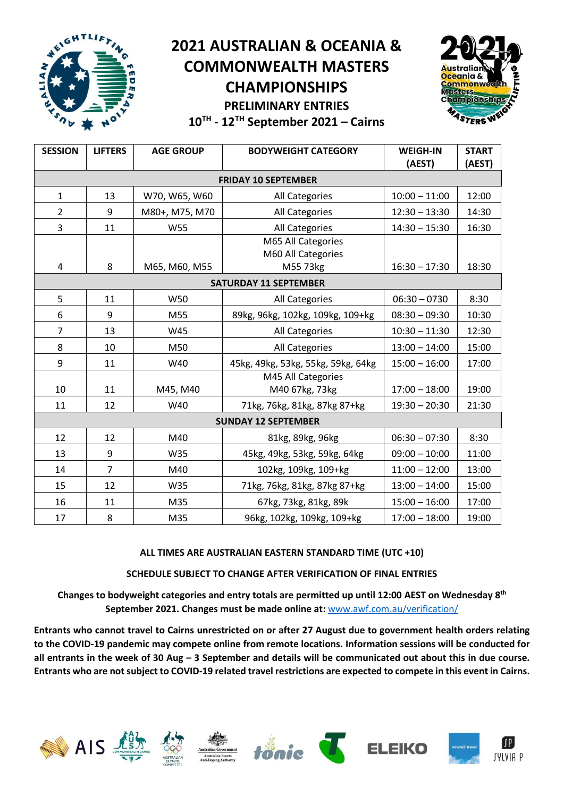

**10TH - 12 TH September 2021 – Cairns**

| <b>SESSION</b>               | <b>LIFTERS</b> | <b>AGE GROUP</b> | <b>BODYWEIGHT CATEGORY</b>               | <b>WEIGH-IN</b><br>(AEST) | <b>START</b><br>(AEST) |  |  |  |  |  |  |  |
|------------------------------|----------------|------------------|------------------------------------------|---------------------------|------------------------|--|--|--|--|--|--|--|
| <b>FRIDAY 10 SEPTEMBER</b>   |                |                  |                                          |                           |                        |  |  |  |  |  |  |  |
| $\mathbf{1}$                 | 13             | W70, W65, W60    | All Categories                           | $10:00 - 11:00$           | 12:00                  |  |  |  |  |  |  |  |
| $\overline{2}$               | 9              | M80+, M75, M70   | All Categories                           | $12:30 - 13:30$           | 14:30                  |  |  |  |  |  |  |  |
| 3                            | 11             | <b>W55</b>       | All Categories                           | $14:30 - 15:30$           | 16:30                  |  |  |  |  |  |  |  |
|                              |                |                  | M65 All Categories<br>M60 All Categories |                           |                        |  |  |  |  |  |  |  |
| 4                            | 8              | M65, M60, M55    | M55 73kg                                 | $16:30 - 17:30$           | 18:30                  |  |  |  |  |  |  |  |
| <b>SATURDAY 11 SEPTEMBER</b> |                |                  |                                          |                           |                        |  |  |  |  |  |  |  |
| 5                            | 11             | W50              | All Categories                           | $06:30 - 0730$            | 8:30                   |  |  |  |  |  |  |  |
| 6                            | 9              | M55              | 89kg, 96kg, 102kg, 109kg, 109+kg         | $08:30 - 09:30$           | 10:30                  |  |  |  |  |  |  |  |
| $\overline{7}$               | 13             | W45              | All Categories                           | $10:30 - 11:30$           | 12:30                  |  |  |  |  |  |  |  |
| 8                            | 10             | M50              | All Categories                           | $13:00 - 14:00$           | 15:00                  |  |  |  |  |  |  |  |
| 9                            | 11             | W40              | 45kg, 49kg, 53kg, 55kg, 59kg, 64kg       | $15:00 - 16:00$           | 17:00                  |  |  |  |  |  |  |  |
| 10                           | 11             | M45, M40         | M45 All Categories<br>M40 67kg, 73kg     | $17:00 - 18:00$           | 19:00                  |  |  |  |  |  |  |  |
| 11                           | 12             | W40              | 71kg, 76kg, 81kg, 87kg 87+kg             | $19:30 - 20:30$           | 21:30                  |  |  |  |  |  |  |  |
|                              |                |                  | <b>SUNDAY 12 SEPTEMBER</b>               |                           |                        |  |  |  |  |  |  |  |
| 12                           | 12             | M40              | 81kg, 89kg, 96kg                         | $06:30 - 07:30$           | 8:30                   |  |  |  |  |  |  |  |
| 13                           | 9              | W35              | 45kg, 49kg, 53kg, 59kg, 64kg             | $09:00 - 10:00$           | 11:00                  |  |  |  |  |  |  |  |
| 14                           | $\overline{7}$ | M40              | 102kg, 109kg, 109+kg                     | $11:00 - 12:00$           | 13:00                  |  |  |  |  |  |  |  |
| 15                           | 12             | W35              | 71kg, 76kg, 81kg, 87kg 87+kg             | $13:00 - 14:00$           | 15:00                  |  |  |  |  |  |  |  |
| 16                           | 11             | M35              | 67kg, 73kg, 81kg, 89k                    | $15:00 - 16:00$           | 17:00                  |  |  |  |  |  |  |  |
| 17                           | 8              | M35              | 96kg, 102kg, 109kg, 109+kg               | $17:00 - 18:00$           | 19:00                  |  |  |  |  |  |  |  |

#### **ALL TIMES ARE AUSTRALIAN EASTERN STANDARD TIME (UTC +10)**

#### **SCHEDULE SUBJECT TO CHANGE AFTER VERIFICATION OF FINAL ENTRIES**

**Changes to bodyweight categories and entry totals are permitted up until 12:00 AEST on Wednesday 8 th September 2021. Changes must be made online at:** [www.awf.com.au/verification/](http://www.awf.com.au/verification/)

**Entrants who cannot travel to Cairns unrestricted on or after 27 August due to government health orders relating to the COVID-19 pandemic may compete online from remote locations. Information sessions will be conducted for all entrants in the week of 30 Aug – 3 September and details will be communicated out about this in due course. Entrants who are not subject to COVID-19 related travel restrictions are expected to compete in this event in Cairns.**



EIG











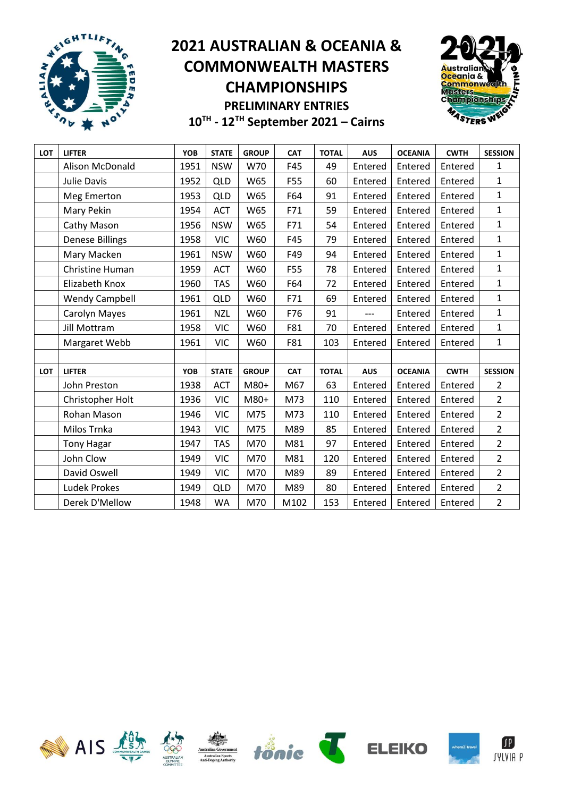



| LOT | <b>LIFTER</b>          | YOB        | <b>STATE</b> | <b>GROUP</b> | <b>CAT</b> | <b>TOTAL</b> | <b>AUS</b> | <b>OCEANIA</b> | <b>CWTH</b> | <b>SESSION</b> |
|-----|------------------------|------------|--------------|--------------|------------|--------------|------------|----------------|-------------|----------------|
|     | Alison McDonald        | 1951       | <b>NSW</b>   | W70          | F45        | 49           | Entered    | Entered        | Entered     | $\mathbf{1}$   |
|     | <b>Julie Davis</b>     | 1952       | <b>QLD</b>   | W65          | F55        | 60           | Entered    | Entered        | Entered     | $\mathbf{1}$   |
|     | Meg Emerton            | 1953       | <b>QLD</b>   | W65          | F64        | 91           | Entered    | Entered        | Entered     | $\mathbf{1}$   |
|     | Mary Pekin             | 1954       | <b>ACT</b>   | W65          | F71        | 59           | Entered    | Entered        | Entered     | $\mathbf{1}$   |
|     | Cathy Mason            | 1956       | <b>NSW</b>   | W65          | F71        | 54           | Entered    | Entered        | Entered     | $\mathbf 1$    |
|     | <b>Denese Billings</b> | 1958       | <b>VIC</b>   | W60          | F45        | 79           | Entered    | Entered        | Entered     | $\mathbf{1}$   |
|     | Mary Macken            | 1961       | <b>NSW</b>   | W60          | F49        | 94           | Entered    | Entered        | Entered     | $\mathbf{1}$   |
|     | Christine Human        | 1959       | <b>ACT</b>   | W60          | F55        | 78           | Entered    | Entered        | Entered     | $\mathbf{1}$   |
|     | Elizabeth Knox         | 1960       | <b>TAS</b>   | W60          | F64        | 72           | Entered    | Entered        | Entered     | $\mathbf{1}$   |
|     | <b>Wendy Campbell</b>  | 1961       | <b>QLD</b>   | W60          | F71        | 69           | Entered    | Entered        | Entered     | $\mathbf{1}$   |
|     | Carolyn Mayes          | 1961       | <b>NZL</b>   | W60          | F76        | 91           |            | Entered        | Entered     | $\mathbf 1$    |
|     | <b>Jill Mottram</b>    | 1958       | <b>VIC</b>   | W60          | F81        | 70           | Entered    | Entered        | Entered     | $\mathbf 1$    |
|     | Margaret Webb          | 1961       | <b>VIC</b>   | W60          | F81        | 103          | Entered    | Entered        | Entered     | $\mathbf{1}$   |
|     |                        |            |              |              |            |              |            |                |             |                |
| LOT | <b>LIFTER</b>          | <b>YOB</b> | <b>STATE</b> | <b>GROUP</b> | <b>CAT</b> | <b>TOTAL</b> | <b>AUS</b> | <b>OCEANIA</b> | <b>CWTH</b> | <b>SESSION</b> |
|     | John Preston           | 1938       | <b>ACT</b>   | M80+         | M67        | 63           | Entered    | Entered        | Entered     | $\overline{2}$ |
|     | Christopher Holt       | 1936       | <b>VIC</b>   | M80+         | M73        | 110          | Entered    | Entered        | Entered     | $\overline{2}$ |
|     | Rohan Mason            | 1946       | <b>VIC</b>   | M75          | M73        | 110          | Entered    | Entered        | Entered     | $\overline{2}$ |
|     | Milos Trnka            | 1943       | <b>VIC</b>   | M75          | M89        | 85           | Entered    | Entered        | Entered     | $\overline{2}$ |
|     | <b>Tony Hagar</b>      | 1947       | <b>TAS</b>   | M70          | M81        | 97           | Entered    | Entered        | Entered     | $\overline{2}$ |
|     | John Clow              | 1949       | <b>VIC</b>   | M70          | M81        | 120          | Entered    | Entered        | Entered     | $\overline{2}$ |
|     | David Oswell           | 1949       | <b>VIC</b>   | M70          | M89        | 89           | Entered    | Entered        | Entered     | $\overline{2}$ |
|     | <b>Ludek Prokes</b>    | 1949       | QLD          | M70          | M89        | 80           | Entered    | Entered        | Entered     | $\overline{2}$ |
|     | Derek D'Mellow         | 1948       | <b>WA</b>    | M70          | M102       | 153          | Entered    | Entered        | Entered     | $\overline{2}$ |













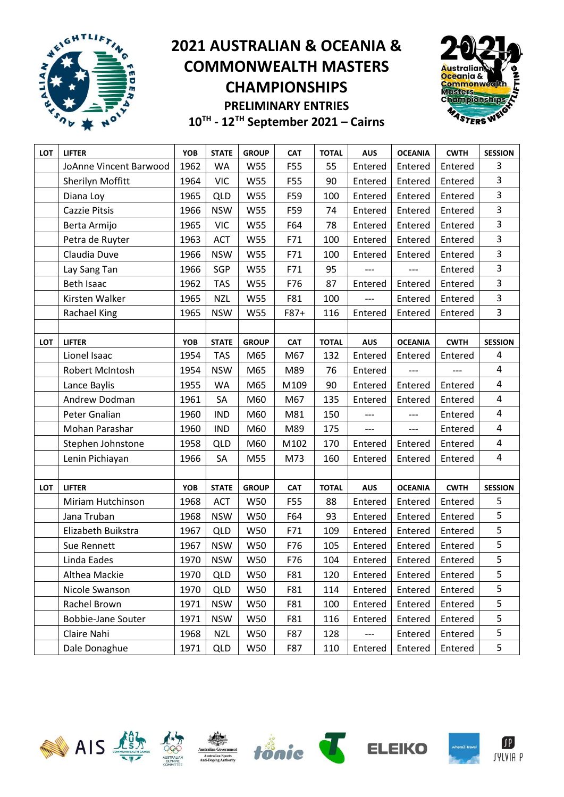



| LOT        | <b>LIFTER</b>             | YOB  | <b>STATE</b> | <b>GROUP</b> | <b>CAT</b> | <b>TOTAL</b> | <b>AUS</b> | <b>OCEANIA</b> | <b>CWTH</b> | <b>SESSION</b> |
|------------|---------------------------|------|--------------|--------------|------------|--------------|------------|----------------|-------------|----------------|
|            | JoAnne Vincent Barwood    | 1962 | WA           | W55          | F55        | 55           | Entered    | Entered        | Entered     | 3              |
|            | Sherilyn Moffitt          | 1964 | <b>VIC</b>   | W55          | F55        | 90           | Entered    | Entered        | Entered     | 3              |
|            | Diana Loy                 | 1965 | <b>QLD</b>   | W55          | F59        | 100          | Entered    | Entered        | Entered     | 3              |
|            | Cazzie Pitsis             | 1966 | <b>NSW</b>   | <b>W55</b>   | F59        | 74           | Entered    | Entered        | Entered     | $\overline{3}$ |
|            | Berta Armijo              | 1965 | <b>VIC</b>   | W55          | F64        | 78           | Entered    | Entered        | Entered     | 3              |
|            | Petra de Ruyter           | 1963 | <b>ACT</b>   | W55          | F71        | 100          | Entered    | Entered        | Entered     | 3              |
|            | Claudia Duve              | 1966 | <b>NSW</b>   | W55          | F71        | 100          | Entered    | Entered        | Entered     | 3              |
|            | Lay Sang Tan              | 1966 | SGP          | W55          | F71        | 95           |            |                | Entered     | 3              |
|            | <b>Beth Isaac</b>         | 1962 | <b>TAS</b>   | <b>W55</b>   | F76        | 87           | Entered    | Entered        | Entered     | 3              |
|            | Kirsten Walker            | 1965 | <b>NZL</b>   | W55          | F81        | 100          | ---        | Entered        | Entered     | 3              |
|            | Rachael King              | 1965 | <b>NSW</b>   | W55          | F87+       | 116          | Entered    | Entered        | Entered     | $\overline{3}$ |
|            |                           |      |              |              |            |              |            |                |             |                |
| LOT        | <b>LIFTER</b>             | YOB  | <b>STATE</b> | <b>GROUP</b> | <b>CAT</b> | <b>TOTAL</b> | <b>AUS</b> | <b>OCEANIA</b> | <b>CWTH</b> | <b>SESSION</b> |
|            | Lionel Isaac              | 1954 | <b>TAS</b>   | M65          | M67        | 132          | Entered    | Entered        | Entered     | 4              |
|            | Robert McIntosh           | 1954 | <b>NSW</b>   | M65          | M89        | 76           | Entered    |                |             | 4              |
|            | Lance Baylis              | 1955 | <b>WA</b>    | M65          | M109       | 90           | Entered    | Entered        | Entered     | 4              |
|            | Andrew Dodman             | 1961 | SA           | M60          | M67        | 135          | Entered    | Entered        | Entered     | 4              |
|            | Peter Gnalian             | 1960 | <b>IND</b>   | M60          | M81        | 150          |            | ---            | Entered     | 4              |
|            | Mohan Parashar            | 1960 | <b>IND</b>   | M60          | M89        | 175          | ---        | $---$          | Entered     | 4              |
|            | Stephen Johnstone         | 1958 | <b>QLD</b>   | M60          | M102       | 170          | Entered    | Entered        | Entered     | 4              |
|            | Lenin Pichiayan           | 1966 | SA           | M55          | M73        | 160          | Entered    | Entered        | Entered     | 4              |
|            |                           |      |              |              |            |              |            |                |             |                |
| <b>LOT</b> | <b>LIFTER</b>             | YOB  | <b>STATE</b> | <b>GROUP</b> | <b>CAT</b> | <b>TOTAL</b> | <b>AUS</b> | <b>OCEANIA</b> | <b>CWTH</b> | <b>SESSION</b> |
|            | Miriam Hutchinson         | 1968 | <b>ACT</b>   | W50          | F55        | 88           | Entered    | Entered        | Entered     | 5              |
|            | Jana Truban               | 1968 | <b>NSW</b>   | W50          | F64        | 93           | Entered    | Entered        | Entered     | 5              |
|            | Elizabeth Buikstra        | 1967 | <b>QLD</b>   | W50          | F71        | 109          | Entered    | Entered        | Entered     | 5              |
|            | Sue Rennett               | 1967 | <b>NSW</b>   | W50          | F76        | 105          | Entered    | Entered        | Entered     | 5              |
|            | Linda Eades               | 1970 | <b>NSW</b>   | W50          | F76        | 104          | Entered    | Entered        | Entered     | 5              |
|            | Althea Mackie             | 1970 | <b>QLD</b>   | <b>W50</b>   | F81        | 120          | Entered    | Entered        | Entered     | 5              |
|            | Nicole Swanson            | 1970 | <b>QLD</b>   | W50          | F81        | 114          | Entered    | Entered        | Entered     | 5              |
|            | Rachel Brown              | 1971 | <b>NSW</b>   | W50          | F81        | 100          | Entered    | Entered        | Entered     | 5              |
|            | <b>Bobbie-Jane Souter</b> | 1971 | <b>NSW</b>   | W50          | F81        | 116          | Entered    | Entered        | Entered     | 5              |
|            | Claire Nahi               | 1968 | <b>NZL</b>   | W50          | F87        | 128          | ---        | Entered        | Entered     | 5              |
|            | Dale Donaghue             | 1971 | <b>QLD</b>   | W50          | F87        | 110          | Entered    | Entered        | Entered     | 5              |











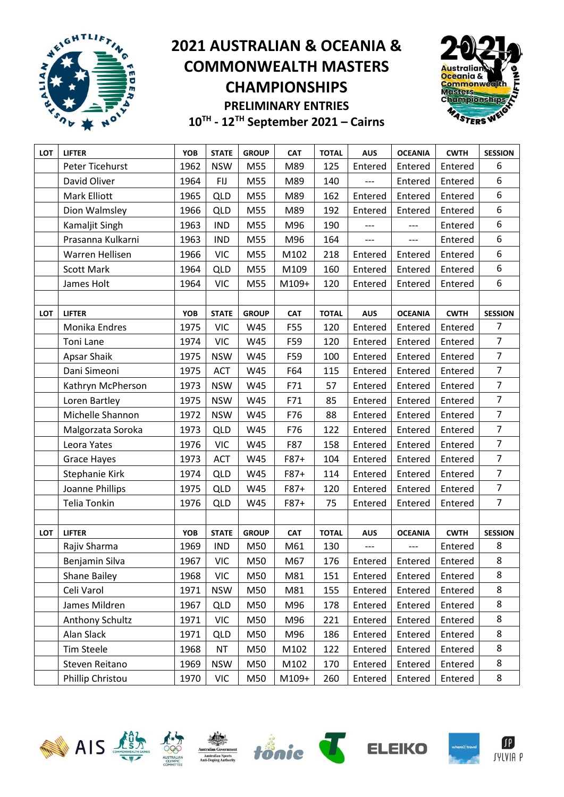



| LOT | <b>LIFTER</b>      | YOB  | <b>STATE</b> | <b>GROUP</b> | <b>CAT</b> | <b>TOTAL</b> | <b>AUS</b> | <b>OCEANIA</b> | <b>CWTH</b> | <b>SESSION</b> |
|-----|--------------------|------|--------------|--------------|------------|--------------|------------|----------------|-------------|----------------|
|     | Peter Ticehurst    | 1962 | <b>NSW</b>   | M55          | M89        | 125          | Entered    | Entered        | Entered     | 6              |
|     | David Oliver       | 1964 | <b>FIJ</b>   | M55          | M89        | 140          | ---        | Entered        | Entered     | 6              |
|     | Mark Elliott       | 1965 | <b>QLD</b>   | M55          | M89        | 162          | Entered    | Entered        | Entered     | 6              |
|     | Dion Walmsley      | 1966 | <b>QLD</b>   | M55          | M89        | 192          | Entered    | Entered        | Entered     | 6              |
|     | Kamaljit Singh     | 1963 | <b>IND</b>   | M55          | M96        | 190          | ---        | $---$          | Entered     | 6              |
|     | Prasanna Kulkarni  | 1963 | <b>IND</b>   | M55          | M96        | 164          | ---        | ---            | Entered     | 6              |
|     | Warren Hellisen    | 1966 | <b>VIC</b>   | M55          | M102       | 218          | Entered    | Entered        | Entered     | 6              |
|     | <b>Scott Mark</b>  | 1964 | <b>QLD</b>   | M55          | M109       | 160          | Entered    | Entered        | Entered     | 6              |
|     | James Holt         | 1964 | <b>VIC</b>   | M55          | M109+      | 120          | Entered    | Entered        | Entered     | 6              |
|     |                    |      |              |              |            |              |            |                |             |                |
| LOT | <b>LIFTER</b>      | YOB  | <b>STATE</b> | <b>GROUP</b> | <b>CAT</b> | <b>TOTAL</b> | <b>AUS</b> | <b>OCEANIA</b> | <b>CWTH</b> | <b>SESSION</b> |
|     | Monika Endres      | 1975 | <b>VIC</b>   | W45          | F55        | 120          | Entered    | Entered        | Entered     | 7              |
|     | <b>Toni Lane</b>   | 1974 | <b>VIC</b>   | W45          | F59        | 120          | Entered    | Entered        | Entered     | $\overline{7}$ |
|     | <b>Apsar Shaik</b> | 1975 | <b>NSW</b>   | W45          | F59        | 100          | Entered    | Entered        | Entered     | $\overline{7}$ |
|     | Dani Simeoni       | 1975 | ACT          | W45          | F64        | 115          | Entered    | Entered        | Entered     | $\overline{7}$ |
|     | Kathryn McPherson  | 1973 | <b>NSW</b>   | W45          | F71        | 57           | Entered    | Entered        | Entered     | $\overline{7}$ |
|     | Loren Bartley      | 1975 | <b>NSW</b>   | W45          | F71        | 85           | Entered    | Entered        | Entered     | $\overline{7}$ |
|     | Michelle Shannon   | 1972 | <b>NSW</b>   | W45          | F76        | 88           | Entered    | Entered        | Entered     | $\overline{7}$ |
|     | Malgorzata Soroka  | 1973 | <b>QLD</b>   | W45          | F76        | 122          | Entered    | Entered        | Entered     | $\overline{7}$ |
|     | Leora Yates        | 1976 | <b>VIC</b>   | W45          | F87        | 158          | Entered    | Entered        | Entered     | $\overline{7}$ |
|     | <b>Grace Hayes</b> | 1973 | <b>ACT</b>   | W45          | F87+       | 104          | Entered    | Entered        | Entered     | $\overline{7}$ |
|     | Stephanie Kirk     | 1974 | <b>QLD</b>   | W45          | F87+       | 114          | Entered    | Entered        | Entered     | $\overline{7}$ |
|     | Joanne Phillips    | 1975 | <b>QLD</b>   | W45          | F87+       | 120          | Entered    | Entered        | Entered     | $\overline{7}$ |
|     | Telia Tonkin       | 1976 | <b>QLD</b>   | W45          | F87+       | 75           | Entered    | Entered        | Entered     | $\overline{7}$ |
|     |                    |      |              |              |            |              |            |                |             |                |
| LOT | <b>LIFTER</b>      | YOB  | <b>STATE</b> | <b>GROUP</b> | <b>CAT</b> | <b>TOTAL</b> | <b>AUS</b> | <b>OCEANIA</b> | <b>CWTH</b> | <b>SESSION</b> |
|     | Rajiv Sharma       | 1969 | <b>IND</b>   | M50          | M61        | 130          | ---        | ---            | Entered     | 8              |
|     | Benjamin Silva     | 1967 | <b>VIC</b>   | M50          | M67        | 176          | Entered    | Entered        | Entered     | 8              |
|     | Shane Bailey       | 1968 | <b>VIC</b>   | M50          | M81        | 151          | Entered    | Entered        | Entered     | 8              |
|     | Celi Varol         | 1971 | <b>NSW</b>   | M50          | M81        | 155          | Entered    | Entered        | Entered     | 8              |
|     | James Mildren      | 1967 | <b>QLD</b>   | M50          | M96        | 178          | Entered    | Entered        | Entered     | 8              |
|     | Anthony Schultz    | 1971 | <b>VIC</b>   | M50          | M96        | 221          | Entered    | Entered        | Entered     | 8              |
|     | Alan Slack         | 1971 | <b>QLD</b>   | M50          | M96        | 186          | Entered    | Entered        | Entered     | 8              |
|     | <b>Tim Steele</b>  | 1968 | <b>NT</b>    | M50          | M102       | 122          | Entered    | Entered        | Entered     | 8              |
|     | Steven Reitano     | 1969 | <b>NSW</b>   | M50          | M102       | 170          | Entered    | Entered        | Entered     | 8              |
|     | Phillip Christou   | 1970 | <b>VIC</b>   | M50          | M109+      | 260          | Entered    | Entered        | Entered     | 8              |













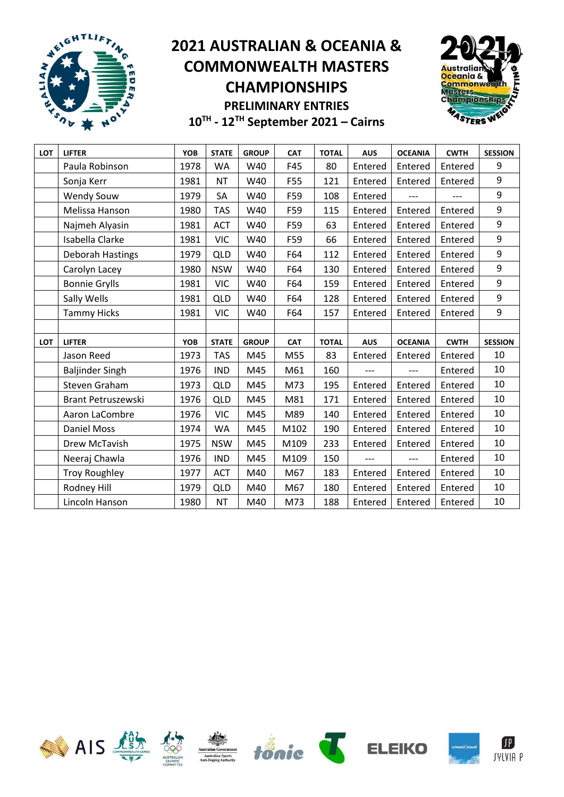



| <b>LOT</b> | <b>LIFTER</b>          | <b>YOB</b> | <b>STATE</b> | <b>GROUP</b> | <b>CAT</b> | <b>TOTAL</b> | <b>AUS</b> | <b>OCEANIA</b> | <b>CWTH</b> | <b>SESSION</b>   |
|------------|------------------------|------------|--------------|--------------|------------|--------------|------------|----------------|-------------|------------------|
|            | Paula Robinson         | 1978       | <b>WA</b>    | W40          | F45        | 80           | Entered    | Entered        | Entered     | 9                |
|            | Sonja Kerr             | 1981       | <b>NT</b>    | W40          | F55        | 121          | Entered    | Entered        | Entered     | 9                |
|            | <b>Wendy Souw</b>      | 1979       | SA           | W40          | F59        | 108          | Entered    | ---            | ---         | $\boldsymbol{9}$ |
|            | Melissa Hanson         | 1980       | <b>TAS</b>   | W40          | F59        | 115          | Entered    | Entered        | Entered     | 9                |
|            | Najmeh Alyasin         | 1981       | <b>ACT</b>   | W40          | F59        | 63           | Entered    | Entered        | Entered     | 9                |
|            | Isabella Clarke        | 1981       | <b>VIC</b>   | W40          | F59        | 66           | Entered    | Entered        | Entered     | 9                |
|            | Deborah Hastings       | 1979       | <b>QLD</b>   | W40          | F64        | 112          | Entered    | Entered        | Entered     | 9                |
|            | Carolyn Lacey          | 1980       | <b>NSW</b>   | W40          | F64        | 130          | Entered    | Entered        | Entered     | 9                |
|            | <b>Bonnie Grylls</b>   | 1981       | <b>VIC</b>   | W40          | F64        | 159          | Entered    | Entered        | Entered     | 9                |
|            | Sally Wells            | 1981       | <b>QLD</b>   | W40          | F64        | 128          | Entered    | Entered        | Entered     | 9                |
|            | <b>Tammy Hicks</b>     | 1981       | <b>VIC</b>   | W40          | F64        | 157          | Entered    | Entered        | Entered     | 9                |
|            |                        |            |              |              |            |              |            |                |             |                  |
| <b>LOT</b> | <b>LIFTER</b>          | <b>YOB</b> | <b>STATE</b> | <b>GROUP</b> | <b>CAT</b> | <b>TOTAL</b> | <b>AUS</b> | <b>OCEANIA</b> | <b>CWTH</b> | <b>SESSION</b>   |
|            | Jason Reed             | 1973       | <b>TAS</b>   | M45          | M55        | 83           | Entered    | Entered        | Entered     | 10               |
|            | <b>Baljinder Singh</b> | 1976       | <b>IND</b>   | M45          | M61        | 160          | ---        | $---$          | Entered     | 10               |
|            | Steven Graham          | 1973       | <b>QLD</b>   | M45          | M73        | 195          | Entered    | Entered        | Entered     | 10               |
|            | Brant Petruszewski     | 1976       | <b>QLD</b>   | M45          | M81        | 171          | Entered    | Entered        | Entered     | 10               |
|            | Aaron LaCombre         | 1976       | <b>VIC</b>   | M45          | M89        | 140          | Entered    | Entered        | Entered     | 10               |
|            | <b>Daniel Moss</b>     | 1974       | <b>WA</b>    | M45          | M102       | 190          | Entered    | Entered        | Entered     | 10               |
|            | Drew McTavish          | 1975       | <b>NSW</b>   | M45          | M109       | 233          | Entered    | Entered        | Entered     | 10               |
|            | Neeraj Chawla          | 1976       | <b>IND</b>   | M45          | M109       | 150          | ---        | $---$          | Entered     | 10               |
|            | <b>Troy Roughley</b>   | 1977       | <b>ACT</b>   | M40          | M67        | 183          | Entered    | Entered        | Entered     | 10               |
|            | Rodney Hill            | 1979       | QLD          | M40          | M67        | 180          | Entered    | Entered        | Entered     | 10               |
|            | Lincoln Hanson         | 1980       | <b>NT</b>    | M40          | M73        | 188          | Entered    | Entered        | Entered     | 10               |













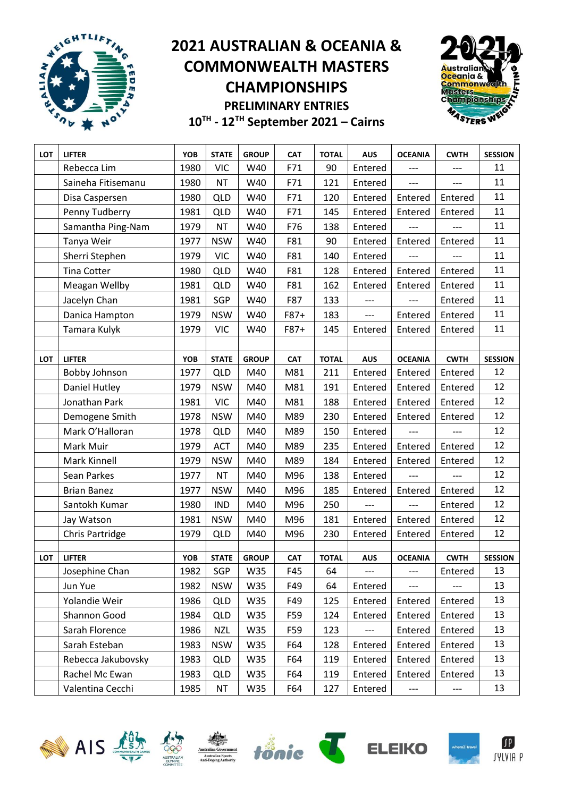



| LOT        | <b>LIFTER</b>      | YOB        | <b>STATE</b> | <b>GROUP</b> | <b>CAT</b> | <b>TOTAL</b> | <b>AUS</b>               | <b>OCEANIA</b> | <b>CWTH</b> | <b>SESSION</b> |
|------------|--------------------|------------|--------------|--------------|------------|--------------|--------------------------|----------------|-------------|----------------|
|            | Rebecca Lim        | 1980       | <b>VIC</b>   | W40          | F71        | 90           | Entered                  | ---            | ---         | 11             |
|            | Saineha Fitisemanu | 1980       | <b>NT</b>    | W40          | F71        | 121          | Entered                  | $---$          | $---$       | 11             |
|            | Disa Caspersen     | 1980       | <b>QLD</b>   | W40          | F71        | 120          | Entered                  | Entered        | Entered     | 11             |
|            | Penny Tudberry     | 1981       | <b>QLD</b>   | W40          | F71        | 145          | Entered                  | Entered        | Entered     | 11             |
|            | Samantha Ping-Nam  | 1979       | <b>NT</b>    | W40          | F76        | 138          | Entered                  | ---            | ---         | 11             |
|            | Tanya Weir         | 1977       | <b>NSW</b>   | W40          | F81        | 90           | Entered                  | Entered        | Entered     | 11             |
|            | Sherri Stephen     | 1979       | <b>VIC</b>   | W40          | F81        | 140          | Entered                  | ---            |             | 11             |
|            | <b>Tina Cotter</b> | 1980       | <b>QLD</b>   | W40          | F81        | 128          | Entered                  | Entered        | Entered     | 11             |
|            | Meagan Wellby      | 1981       | <b>QLD</b>   | W40          | F81        | 162          | Entered                  | Entered        | Entered     | 11             |
|            | Jacelyn Chan       | 1981       | SGP          | W40          | F87        | 133          | ---                      |                | Entered     | 11             |
|            | Danica Hampton     | 1979       | <b>NSW</b>   | W40          | F87+       | 183          | $\overline{\phantom{a}}$ | Entered        | Entered     | 11             |
|            | Tamara Kulyk       | 1979       | <b>VIC</b>   | W40          | $F87+$     | 145          | Entered                  | Entered        | Entered     | 11             |
|            |                    |            |              |              |            |              |                          |                |             |                |
| <b>LOT</b> | <b>LIFTER</b>      | <b>YOB</b> | <b>STATE</b> | <b>GROUP</b> | <b>CAT</b> | <b>TOTAL</b> | <b>AUS</b>               | <b>OCEANIA</b> | <b>CWTH</b> | <b>SESSION</b> |
|            | Bobby Johnson      | 1977       | <b>QLD</b>   | M40          | M81        | 211          | Entered                  | Entered        | Entered     | 12             |
|            | Daniel Hutley      | 1979       | <b>NSW</b>   | M40          | M81        | 191          | Entered                  | Entered        | Entered     | 12             |
|            | Jonathan Park      | 1981       | <b>VIC</b>   | M40          | M81        | 188          | Entered                  | Entered        | Entered     | 12             |
|            | Demogene Smith     | 1978       | <b>NSW</b>   | M40          | M89        | 230          | Entered                  | Entered        | Entered     | 12             |
|            | Mark O'Halloran    | 1978       | <b>QLD</b>   | M40          | M89        | 150          | Entered                  | ---            | ---         | 12             |
|            | Mark Muir          | 1979       | <b>ACT</b>   | M40          | M89        | 235          | Entered                  | Entered        | Entered     | 12             |
|            | Mark Kinnell       | 1979       | <b>NSW</b>   | M40          | M89        | 184          | Entered                  | Entered        | Entered     | 12             |
|            | Sean Parkes        | 1977       | <b>NT</b>    | M40          | M96        | 138          | Entered                  | ---            |             | 12             |
|            | <b>Brian Banez</b> | 1977       | <b>NSW</b>   | M40          | M96        | 185          | Entered                  | Entered        | Entered     | 12             |
|            | Santokh Kumar      | 1980       | <b>IND</b>   | M40          | M96        | 250          |                          |                | Entered     | 12             |
|            | Jay Watson         | 1981       | <b>NSW</b>   | M40          | M96        | 181          | Entered                  | Entered        | Entered     | 12             |
|            | Chris Partridge    | 1979       | <b>QLD</b>   | M40          | M96        | 230          | Entered                  | Entered        | Entered     | 12             |
|            |                    |            |              |              |            |              |                          |                |             |                |
| LOT        | <b>LIFTER</b>      | <b>YOB</b> | <b>STATE</b> | <b>GROUP</b> | <b>CAT</b> | <b>TOTAL</b> | <b>AUS</b>               | <b>OCEANIA</b> | <b>CWTH</b> | <b>SESSION</b> |
|            | Josephine Chan     | 1982       | SGP          | W35          | F45        | 64           |                          |                | Entered     | 13             |
|            | Jun Yue            | 1982       | <b>NSW</b>   | W35          | F49        | 64           | Entered                  | $---$          | $---$       | 13             |
|            | Yolandie Weir      | 1986       | <b>QLD</b>   | W35          | F49        | 125          | Entered                  | Entered        | Entered     | 13             |
|            | Shannon Good       | 1984       | <b>QLD</b>   | W35          | F59        | 124          | Entered                  | Entered        | Entered     | 13             |
|            | Sarah Florence     | 1986       | <b>NZL</b>   | W35          | F59        | 123          | ---                      | Entered        | Entered     | 13             |
|            | Sarah Esteban      | 1983       | <b>NSW</b>   | W35          | F64        | 128          | Entered                  | Entered        | Entered     | 13             |
|            | Rebecca Jakubovsky | 1983       | <b>QLD</b>   | W35          | F64        | 119          | Entered                  | Entered        | Entered     | 13             |
|            | Rachel Mc Ewan     | 1983       | <b>QLD</b>   | W35          | F64        | 119          | Entered                  | Entered        | Entered     | 13             |
|            | Valentina Cecchi   | 1985       | <b>NT</b>    | W35          | F64        | 127          | Entered                  | $---$          | ---         | 13             |













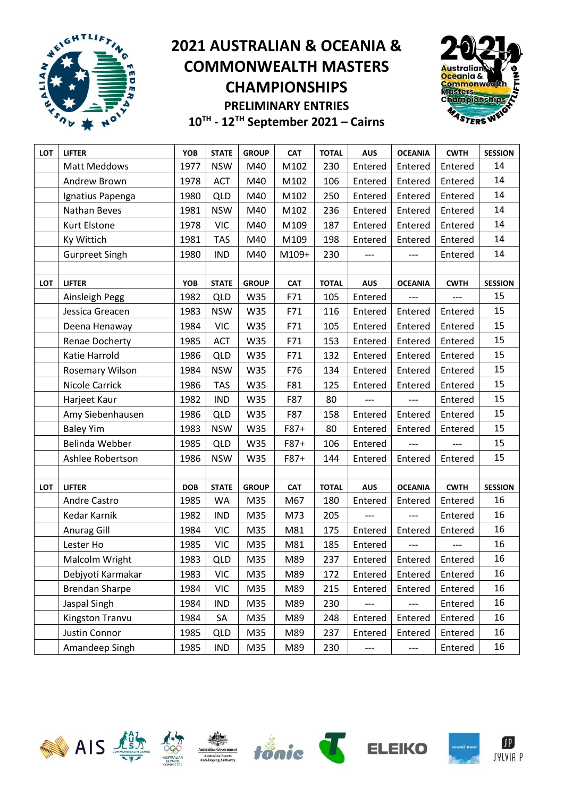



| LOT | <b>LIFTER</b>         | YOB        | <b>STATE</b> | <b>GROUP</b> | <b>CAT</b> | <b>TOTAL</b> | <b>AUS</b> | <b>OCEANIA</b>              | <b>CWTH</b> | <b>SESSION</b> |
|-----|-----------------------|------------|--------------|--------------|------------|--------------|------------|-----------------------------|-------------|----------------|
|     | Matt Meddows          | 1977       | <b>NSW</b>   | M40          | M102       | 230          | Entered    | Entered                     | Entered     | 14             |
|     | Andrew Brown          | 1978       | <b>ACT</b>   | M40          | M102       | 106          | Entered    | Entered                     | Entered     | 14             |
|     | Ignatius Papenga      | 1980       | <b>QLD</b>   | M40          | M102       | 250          | Entered    | Entered                     | Entered     | 14             |
|     | Nathan Beves          | 1981       | <b>NSW</b>   | M40          | M102       | 236          | Entered    | Entered                     | Entered     | 14             |
|     | Kurt Elstone          | 1978       | <b>VIC</b>   | M40          | M109       | 187          | Entered    | Entered                     | Entered     | 14             |
|     | Ky Wittich            | 1981       | <b>TAS</b>   | M40          | M109       | 198          | Entered    | Entered                     | Entered     | 14             |
|     | <b>Gurpreet Singh</b> | 1980       | <b>IND</b>   | M40          | M109+      | 230          | $---$      | ---                         | Entered     | 14             |
|     |                       |            |              |              |            |              |            |                             |             |                |
| LOT | <b>LIFTER</b>         | YOB        | <b>STATE</b> | <b>GROUP</b> | <b>CAT</b> | <b>TOTAL</b> | <b>AUS</b> | <b>OCEANIA</b>              | <b>CWTH</b> | <b>SESSION</b> |
|     | Ainsleigh Pegg        | 1982       | <b>QLD</b>   | W35          | F71        | 105          | Entered    | $---$                       | ---         | 15             |
|     | Jessica Greacen       | 1983       | <b>NSW</b>   | W35          | F71        | 116          | Entered    | Entered                     | Entered     | 15             |
|     | Deena Henaway         | 1984       | <b>VIC</b>   | W35          | F71        | 105          | Entered    | Entered                     | Entered     | 15             |
|     | Renae Docherty        | 1985       | <b>ACT</b>   | W35          | F71        | 153          | Entered    | Entered                     | Entered     | 15             |
|     | Katie Harrold         | 1986       | QLD          | W35          | F71        | 132          | Entered    | Entered                     | Entered     | 15             |
|     | Rosemary Wilson       | 1984       | <b>NSW</b>   | W35          | F76        | 134          | Entered    | Entered                     | Entered     | 15             |
|     | <b>Nicole Carrick</b> | 1986       | <b>TAS</b>   | W35          | F81        | 125          | Entered    | Entered                     | Entered     | 15             |
|     | Harjeet Kaur          | 1982       | <b>IND</b>   | W35          | F87        | 80           | $---$      | ---                         | Entered     | 15             |
|     | Amy Siebenhausen      | 1986       | <b>QLD</b>   | W35          | F87        | 158          | Entered    | Entered                     | Entered     | 15             |
|     | <b>Baley Yim</b>      | 1983       | <b>NSW</b>   | W35          | F87+       | 80           | Entered    | Entered                     | Entered     | 15             |
|     | Belinda Webber        | 1985       | QLD          | W35          | F87+       | 106          | Entered    |                             |             | 15             |
|     | Ashlee Robertson      | 1986       | <b>NSW</b>   | W35          | F87+       | 144          | Entered    | Entered                     | Entered     | 15             |
|     |                       |            |              |              |            |              |            |                             |             |                |
| LOT | <b>LIFTER</b>         | <b>DOB</b> | <b>STATE</b> | <b>GROUP</b> | <b>CAT</b> | <b>TOTAL</b> | <b>AUS</b> | <b>OCEANIA</b>              | <b>CWTH</b> | <b>SESSION</b> |
|     | Andre Castro          | 1985       | <b>WA</b>    | M35          | M67        | 180          | Entered    | Entered                     | Entered     | 16             |
|     | Kedar Karnik          | 1982       | <b>IND</b>   | M35          | M73        | 205          |            | ---                         | Entered     | 16             |
|     | Anurag Gill           | 1984       | <b>VIC</b>   | M35          | M81        | 175          | Entered    | Entered                     | Entered     | 16             |
|     | Lester Ho             | 1985       | <b>VIC</b>   | M35          | M81        | 185          | Entered    |                             |             | 16             |
|     | Malcolm Wright        | 1983       | <b>QLD</b>   | M35          | M89        | 237          | Entered    | Entered                     | Entered     | 16             |
|     | Debjyoti Karmakar     | 1983       | <b>VIC</b>   | M35          | M89        | 172          |            | Entered   Entered   Entered |             | 16             |
|     | <b>Brendan Sharpe</b> | 1984       | <b>VIC</b>   | M35          | M89        | 215          | Entered    | Entered                     | Entered     | 16             |
|     | Jaspal Singh          | 1984       | <b>IND</b>   | M35          | M89        | 230          | $---$      | ---                         | Entered     | 16             |
|     | Kingston Tranvu       | 1984       | SA           | M35          | M89        | 248          | Entered    | Entered                     | Entered     | 16             |
|     | Justin Connor         | 1985       | <b>QLD</b>   | M35          | M89        | 237          | Entered    | Entered                     | Entered     | 16             |
|     | Amandeep Singh        | 1985       | <b>IND</b>   | M35          | M89        | 230          | ---        | ---                         | Entered     | 16             |